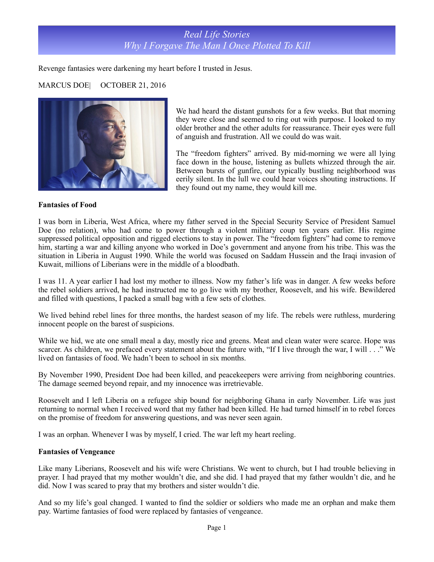# *Real Life Stories Why I Forgave The Man I Once Plotted To Kill*

Revenge fantasies were darkening my heart before I trusted in Jesus.

### MARCUS DOE| OCTOBER 21, 2016



We had heard the distant gunshots for a few weeks. But that morning they were close and seemed to ring out with purpose. I looked to my older brother and the other adults for reassurance. Their eyes were full of anguish and frustration. All we could do was wait.

The "freedom fighters" arrived. By mid-morning we were all lying face down in the house, listening as bullets whizzed through the air. Between bursts of gunfire, our typically bustling neighborhood was eerily silent. In the lull we could hear voices shouting instructions. If they found out my name, they would kill me.

#### **Fantasies of Food**

I was born in Liberia, West Africa, where my father served in the Special Security Service of President Samuel Doe (no relation), who had come to power through a violent military coup ten years earlier. His regime suppressed political opposition and rigged elections to stay in power. The "freedom fighters" had come to remove him, starting a war and killing anyone who worked in Doe's government and anyone from his tribe. This was the situation in Liberia in August 1990. While the world was focused on Saddam Hussein and the Iraqi invasion of Kuwait, millions of Liberians were in the middle of a bloodbath.

I was 11. A year earlier I had lost my mother to illness. Now my father's life was in danger. A few weeks before the rebel soldiers arrived, he had instructed me to go live with my brother, Roosevelt, and his wife. Bewildered and filled with questions, I packed a small bag with a few sets of clothes.

We lived behind rebel lines for three months, the hardest season of my life. The rebels were ruthless, murdering innocent people on the barest of suspicions.

While we hid, we ate one small meal a day, mostly rice and greens. Meat and clean water were scarce. Hope was scarcer. As children, we prefaced every statement about the future with, "If I live through the war, I will  $\ldots$ " We lived on fantasies of food. We hadn't been to school in six months.

By November 1990, President Doe had been killed, and peacekeepers were arriving from neighboring countries. The damage seemed beyond repair, and my innocence was irretrievable.

Roosevelt and I left Liberia on a refugee ship bound for neighboring Ghana in early November. Life was just returning to normal when I received word that my father had been killed. He had turned himself in to rebel forces on the promise of freedom for answering questions, and was never seen again.

I was an orphan. Whenever I was by myself, I cried. The war left my heart reeling.

#### **Fantasies of Vengeance**

Like many Liberians, Roosevelt and his wife were Christians. We went to church, but I had trouble believing in prayer. I had prayed that my mother wouldn't die, and she did. I had prayed that my father wouldn't die, and he did. Now I was scared to pray that my brothers and sister wouldn't die.

And so my life's goal changed. I wanted to find the soldier or soldiers who made me an orphan and make them pay. Wartime fantasies of food were replaced by fantasies of vengeance.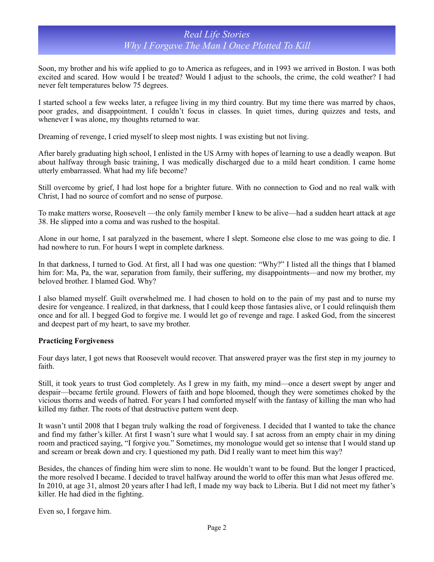### *Real Life Stories Why I Forgave The Man I Once Plotted To Kill*

Soon, my brother and his wife applied to go to America as refugees, and in 1993 we arrived in Boston. I was both excited and scared. How would I be treated? Would I adjust to the schools, the crime, the cold weather? I had never felt temperatures below 75 degrees.

I started school a few weeks later, a refugee living in my third country. But my time there was marred by chaos, poor grades, and disappointment. I couldn't focus in classes. In quiet times, during quizzes and tests, and whenever I was alone, my thoughts returned to war.

Dreaming of revenge, I cried myself to sleep most nights. I was existing but not living.

After barely graduating high school, I enlisted in the US Army with hopes of learning to use a deadly weapon. But about halfway through basic training, I was medically discharged due to a mild heart condition. I came home utterly embarrassed. What had my life become?

Still overcome by grief, I had lost hope for a brighter future. With no connection to God and no real walk with Christ, I had no source of comfort and no sense of purpose.

To make matters worse, Roosevelt —the only family member I knew to be alive—had a sudden heart attack at age 38. He slipped into a coma and was rushed to the hospital.

Alone in our home, I sat paralyzed in the basement, where I slept. Someone else close to me was going to die. I had nowhere to run. For hours I wept in complete darkness.

In that darkness, I turned to God. At first, all I had was one question: "Why?" I listed all the things that I blamed him for: Ma, Pa, the war, separation from family, their suffering, my disappointments—and now my brother, my beloved brother. I blamed God. Why?

I also blamed myself. Guilt overwhelmed me. I had chosen to hold on to the pain of my past and to nurse my desire for vengeance. I realized, in that darkness, that I could keep those fantasies alive, or I could relinquish them once and for all. I begged God to forgive me. I would let go of revenge and rage. I asked God, from the sincerest and deepest part of my heart, to save my brother.

### **Practicing Forgiveness**

Four days later, I got news that Roosevelt would recover. That answered prayer was the first step in my journey to faith.

Still, it took years to trust God completely. As I grew in my faith, my mind—once a desert swept by anger and despair—became fertile ground. Flowers of faith and hope bloomed, though they were sometimes choked by the vicious thorns and weeds of hatred. For years I had comforted myself with the fantasy of killing the man who had killed my father. The roots of that destructive pattern went deep.

It wasn't until 2008 that I began truly walking the road of forgiveness. I decided that I wanted to take the chance and find my father's killer. At first I wasn't sure what I would say. I sat across from an empty chair in my dining room and practiced saying, "I forgive you." Sometimes, my monologue would get so intense that I would stand up and scream or break down and cry. I questioned my path. Did I really want to meet him this way?

Besides, the chances of finding him were slim to none. He wouldn't want to be found. But the longer I practiced, the more resolved I became. I decided to travel halfway around the world to offer this man what Jesus offered me. In 2010, at age 31, almost 20 years after I had left, I made my way back to Liberia. But I did not meet my father's killer. He had died in the fighting.

Even so, I forgave him.